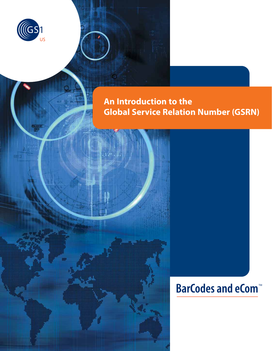

# **An Introduction to the Global Service Relation Number (GSRN)**

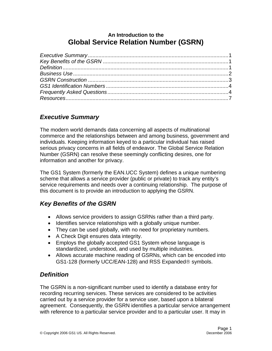### **An Introduction to the Global Service Relation Number (GSRN)**

# *Executive Summary*

The modern world demands data concerning all aspects of multinational commerce and the relationships between and among business, government and individuals. Keeping information keyed to a particular individual has raised serious privacy concerns in all fields of endeavor. The Global Service Relation Number (GSRN) can resolve these seemingly conflicting desires, one for information and another for privacy.

The GS1 System (formerly the EAN.UCC System) defines a unique numbering scheme that allows a service provider (public or private) to track any entity's service requirements and needs over a continuing relationship. The purpose of this document is to provide an introduction to applying the GSRN.

# *Key Benefits of the GSRN*

- Allows service providers to assign GSRNs rather than a third party.
- Identifies service relationships with a globally unique number.
- They can be used globally, with no need for proprietary numbers.
- A Check Digit ensures data integrity.
- Employs the globally accepted GS1 System whose language is standardized, understood, and used by multiple industries.
- Allows accurate machine reading of GSRNs, which can be encoded into GS1-128 (formerly UCC/EAN-128) and RSS Expanded® symbols.

# *Definition*

The GSRN is a non-significant number used to identify a database entry for recording recurring services. These services are considered to be activities carried out by a service provider for a service user, based upon a bilateral agreement. Consequently, the GSRN identifies a particular service arrangement with reference to a particular service provider and to a particular user. It may in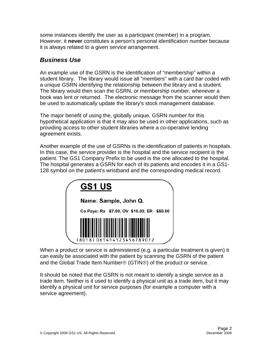some instances identify the user as a participant (member) in a program. However, it **never** constitutes a person's personal identification number because it is always related to a given service arrangement.

### *Business Use*

An example use of the GSRN is the identification of "membership" within a student library. The library would issue all "members" with a card bar coded with a unique GSRN identifying the relationship between the library and a student. The library would then scan the GSRN, or membership number, whenever a book was lent or returned. The electronic message from the scanner would then be used to automatically update the library's stock management database.

The major benefit of using the, globally unique, GSRN number for this hypothetical application is that it may also be used in other applications, such as providing access to other student libraries where a co-operative lending agreement exists.

Another example of the use of GSRNs is the identification of patients in hospitals. In this case, the service provider is the hospital and the service recipient is the patient. The GS1 Company Prefix to be used is the one allocated to the hospital. The hospital generates a GSRN for each of its patients and encodes it in a GS1- 128 symbol on the patient's wristband and the corresponding medical record.

| <b>GS1 US</b>                                   |
|-------------------------------------------------|
| Name: Sample, John Q.                           |
| Co Pays: Rx - \$7.00, OV- \$10.00, ER - \$50.00 |
| 061414123456789012                              |

When a product or service is administered (e.g. a particular treatment is given) it can easily be associated with the patient by scanning the GSRN of the patient and the Global Trade Item Number® (GTIN®) of the product or service.

It should be noted that the GSRN is not meant to identify a single service as a trade item. Neither is it used to identify a physical unit as a trade item, but it may identify a physical unit for service purposes (for example a computer with a service agreement).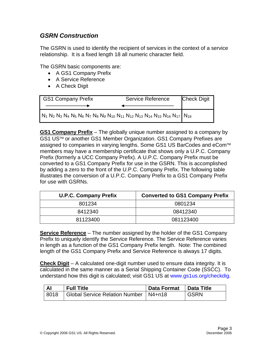## *GSRN Construction*

The GSRN is used to identify the recipient of services in the context of a service relationship. It is a fixed length 18 all numeric character field.

The GSRN basic components are:

- A GS1 Company Prefix
- A Service Reference
- A Check Digit

| <b>GS1 Company Prefix</b>                                                                            | <b>Service Reference</b> | <b>Check Digit</b> |
|------------------------------------------------------------------------------------------------------|--------------------------|--------------------|
|                                                                                                      |                          |                    |
| $N_1 N_2 N_3 N_4 N_5 N_6 N_7 N_8 N_9 N_{10} N_{11} N_{12} N_{13} N_{14} N_{15} N_{16} N_{17} N_{18}$ |                          |                    |

**GS1 Company Prefix** – The globally unique number assigned to a company by GS1 US™ or another GS1 Member Organization. GS1 Company Prefixes are assigned to companies in varying lengths. Some GS1 US BarCodes and eCom™ members may have a membership certificate that shows only a U.P.C. Company Prefix (formerly a UCC Company Prefix). A U.P.C. Company Prefix must be converted to a GS1 Company Prefix for use in the GSRN. This is accomplished by adding a zero to the front of the U.P.C. Company Prefix. The following table illustrates the conversion of a U.P.C. Company Prefix to a GS1 Company Prefix for use with GSRNs.

| <b>U.P.C. Company Prefix</b> | <b>Converted to GS1 Company Prefix</b> |  |
|------------------------------|----------------------------------------|--|
| 801234                       | 0801234                                |  |
| 8412340                      | 08412340                               |  |
| 81123400                     | 081123400                              |  |

**Service Reference** – The number assigned by the holder of the GS1 Company Prefix to uniquely identify the Service Reference. The Service Reference varies in length as a function of the GS1 Company Prefix length. Note: The combined length of the GS1 Company Prefix and Service Reference is always 17 digits.

**Check Digit** – A calculated one-digit number used to ensure data integrity. It is calculated in the same manner as a Serial Shipping Container Code (SSCC). To understand how this digit is calculated; visit GS1 US at www.gs1us.org/checkdig.

| <b>Al</b> | <b>Full Title</b>                       | <b>Data Format</b> | <b>Data Title</b> |
|-----------|-----------------------------------------|--------------------|-------------------|
| 8018      | Global Service Relation Number   N4+n18 |                    | <b>GSRN</b>       |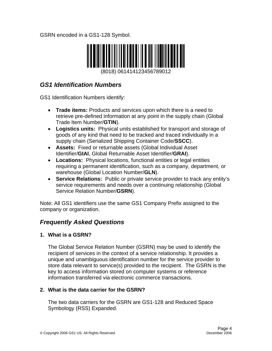GSRN encoded in a GS1-128 Symbol.



(8018) 061414123456789012

## *GS1 Identification Numbers*

GS1 Identification Numbers identify:

- **Trade items:** Products and services upon which there is a need to retrieve pre-defined information at any point in the supply chain (Global Trade Item Number/**GTIN**).
- **Logistics units:** Physical units established for transport and storage of goods of any kind that need to be tracked and traced individually in a supply chain (Serialized Shipping Container Code/**SSCC**).
- **Assets:** Fixed or returnable assets (Global Individual Asset Identifier/**GIAI**, Global Returnable Asset Identifier/**GRAI**).
- **Locations:** Physical locations, functional entities or legal entities requiring a permanent identification, such as a company, department, or warehouse (Global Location Number/**GLN**).
- **Service Relations:** Public or private service provider to track any entity's service requirements and needs over a continuing relationship (Global Service Relation Number/**GSRN**).

Note: All GS1 identifiers use the same GS1 Company Prefix assigned to the company or organization.

# *Frequently Asked Questions*

### **1. What is a GSRN?**

The Global Service Relation Number (GSRN) may be used to identify the recipient of services in the context of a service relationship. It provides a unique and unambiguous identification number for the service provider to store data relevant to service(s) provided to the recipient. The GSRN is the key to access information stored on computer systems or reference information transferred via electronic commerce transactions.

#### **2. What is the data carrier for the GSRN?**

The two data carriers for the GSRN are GS1-128 and Reduced Space Symbology (RSS) Expanded.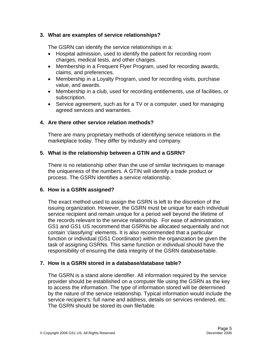#### **3. What are examples of service relationships?**

The GSRN can identify the service relationships in a:

- Hospital admission, used to identify the patient for recording room charges, medical tests, and other charges.
- Membership in a Frequent Flyer Program, used for recording awards, claims, and preferences.
- Membership in a Loyalty Program, used for recording visits, purchase value, and awards.
- Membership in a club, used for recording entitlements, use of facilities, or subscription.
- Service agreement, such as for a TV or a computer, used for managing agreed services and warranties.

#### **4. Are there other service relation methods?**

There are many proprietary methods of identifying service relations in the marketplace today. They differ by industry and company.

#### **5. What is the relationship between a GTIN and a GSRN?**

There is no relationship other than the use of similar techniques to manage the uniqueness of the numbers. A GTIN will identify a trade product or process. The GSRN identifies a service relationship.

#### **6. How is a GSRN assigned?**

The exact method used to assign the GSRN is left to the discretion of the issuing organization. However, the GSRN must be unique for each individual service recipient and remain unique for a period well beyond the lifetime of the records relevant to the service relationship. For ease of administration, GS1 and GS1 US recommend that GSRNs be allocated sequentially and not contain 'classifying' elements. It is also recommended that a particular function or individual (GS1 Coordinator) within the organization be given the task of assigning GSRNs. This same function or individual should have the responsibility of ensuring the data integrity of the GSRN database/table.

#### **7. How is a GSRN stored in a database/database table?**

The GSRN is a stand alone identifier. All information required by the service provider should be established on a computer file using the GSRN as the key to access the information. The type of information stored will be determined by the nature of the service relationship. Typical information would include the service recipient's: full name and address, details on services rendered, etc. The GSRN should be stored its own file/table.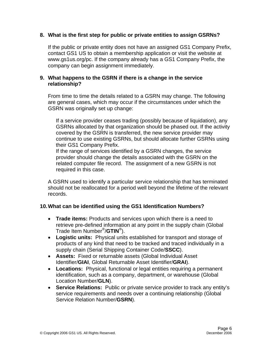#### **8. What is the first step for public or private entities to assign GSRNs?**

If the public or private entity does not have an assigned GS1 Company Prefix, contact GS1 US to obtain a membership application or visit the website at www.gs1us.org/pc. If the company already has a GS1 Company Prefix, the company can begin assignment immediately.

#### **9. What happens to the GSRN if there is a change in the service relationship?**

From time to time the details related to a GSRN may change. The following are general cases, which may occur if the circumstances under which the GSRN was originally set up change:

If a service provider ceases trading (possibly because of liquidation), any GSRNs allocated by that organization should be phased out. If the activity covered by the GSRN is transferred, the new service provider may continue to use existing GSRNs, but should allocate further GSRNs using their GS1 Company Prefix.

If the range of services identified by a GSRN changes, the service provider should change the details associated with the GSRN on the related computer file record. The assignment of a new GSRN is not required in this case.

A GSRN used to identify a particular service relationship that has terminated should not be reallocated for a period well beyond the lifetime of the relevant records.

#### **10. What can be identified using the GS1 Identification Numbers?**

- **Trade items:** Products and services upon which there is a need to retrieve pre-defined information at any point in the supply chain (Global Trade Item Number®/**GTIN**®).
- **Logistic units:** Physical units established for transport and storage of products of any kind that need to be tracked and traced individually in a supply chain (Serial Shipping Container Code/**SSCC**).
- **Assets:** Fixed or returnable assets (Global Individual Asset Identifier/**GIAI**, Global Returnable Asset Identifier/**GRAI**).
- **Locations:** Physical, functional or legal entities requiring a permanent identification, such as a company, department, or warehouse (Global Location Number/**GLN**).
- **Service Relations:** Public or private service provider to track any entity's service requirements and needs over a continuing relationship (Global Service Relation Number/**GSRN**).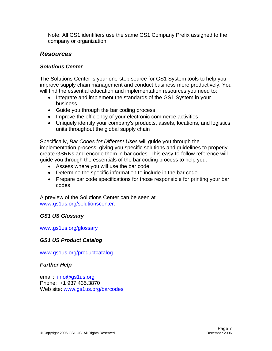Note: All GS1 identifiers use the same GS1 Company Prefix assigned to the company or organization

#### *Resources*

#### *Solutions Center*

The Solutions Center is your one-stop source for GS1 System tools to help you improve supply chain management and conduct business more productively. You will find the essential education and implementation resources you need to:

- Integrate and implement the standards of the GS1 System in your business
- Guide you through the bar coding process
- Improve the efficiency of your electronic commerce activities
- Uniquely identify your company's products, assets, locations, and logistics units throughout the global supply chain

Specifically, *Bar Codes for Different Uses* will guide you through the implementation process, giving you specific solutions and guidelines to properly create GSRNs and encode them in bar codes. This easy-to-follow reference will guide you through the essentials of the bar coding process to help you:

- Assess where you will use the bar code
- Determine the specific information to include in the bar code
- Prepare bar code specifications for those responsible for printing your bar codes

A preview of the Solutions Center can be seen at www.gs1us.org/solutionscenter.

#### *GS1 US Glossary*

www.gs1us.org/glossary

#### *GS1 US Product Catalog*

www.gs1us.org/productcatalog

#### *Further Help*

email: info@gs1us.org Phone: +1 937.435.3870 Web site: www.gs1us.org/barcodes